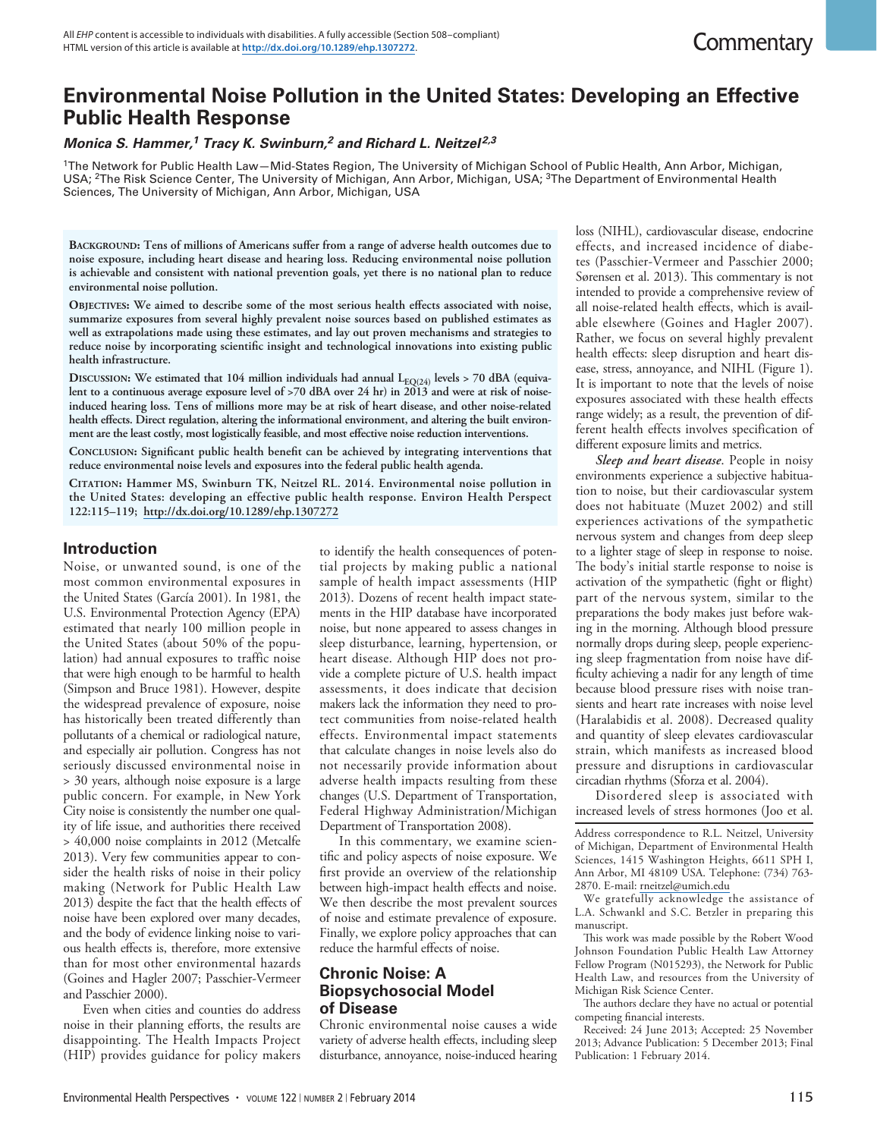# **Environmental Noise Pollution in the United States: Developing an Effective Public Health Response**

#### *Monica S. Hammer,1 Tracy K. Swinburn,2 and Richard L. Neitzel 2,3*

1The Network for Public Health Law—Mid-States Region, The University of Michigan School of Public Health, Ann Arbor, Michigan, USA; <sup>2</sup>The Risk Science Center, The University of Michigan, Ann Arbor, Michigan, USA; <sup>3</sup>The Department of Environmental Health Sciences, The University of Michigan, Ann Arbor, Michigan, USA

**Background: Tens of millions of Americans suffer from a range of adverse health outcomes due to noise exposure, including heart disease and hearing loss. Reducing environmental noise pollution is achievable and consistent with national prevention goals, yet there is no national plan to reduce environmental noise pollution.**

**Objectives: We aimed to describe some of the most serious health effects associated with noise, summarize exposures from several highly prevalent noise sources based on published estimates as well as extrapolations made using these estimates, and lay out proven mechanisms and strategies to reduce noise by incorporating scientific insight and technological innovations into existing public health infrastructure.**

**DISCUSSION:** We estimated that 104 million individuals had annual  $L_{EO(24)}$  levels > 70 dBA (equiva**lent to a continuous average exposure level of >70 dBA over 24 hr) in 2013 and were at risk of noiseinduced hearing loss. Tens of millions more may be at risk of heart disease, and other noise-related**  health effects. Direct regulation, altering the informational environment, and altering the built environ**ment are the least costly, most logistically feasible, and most effective noise reduction interventions.**

**Conclusion: Significant public health benefit can be achieved by integrating interventions that reduce environmental noise levels and exposures into the federal public health agenda.**

**Citation: Hammer MS, Swinburn TK, Neitzel RL. 2014. Environmental noise pollution in the United States: developing an effective public health response. Environ Health Perspect 122:115–119; <http://dx.doi.org/10.1289/ehp.1307272>**

# **Introduction**

Noise, or unwanted sound, is one of the most common environmental exposures in the United States (García 2001). In 1981, the U.S. Environmental Protection Agency (EPA) estimated that nearly 100 million people in the United States (about 50% of the population) had annual exposures to traffic noise that were high enough to be harmful to health (Simpson and Bruce 1981). However, despite the widespread prevalence of exposure, noise has historically been treated differently than pollutants of a chemical or radiological nature, and especially air pollution. Congress has not seriously discussed environmental noise in > 30 years, although noise exposure is a large public concern. For example, in New York City noise is consistently the number one quality of life issue, and authorities there received > 40,000 noise complaints in 2012 (Metcalfe 2013). Very few communities appear to consider the health risks of noise in their policy making (Network for Public Health Law 2013) despite the fact that the health effects of noise have been explored over many decades, and the body of evidence linking noise to various health effects is, therefore, more extensive than for most other environmental hazards (Goines and Hagler 2007; Passchier-Vermeer and Passchier 2000).

Even when cities and counties do address noise in their planning efforts, the results are disappointing. The Health Impacts Project (HIP) provides guidance for policy makers to identify the health consequences of potential projects by making public a national sample of health impact assessments (HIP 2013). Dozens of recent health impact statements in the HIP database have incorporated noise, but none appeared to assess changes in sleep disturbance, learning, hypertension, or heart disease. Although HIP does not provide a complete picture of U.S. health impact assessments, it does indicate that decision makers lack the information they need to protect communities from noise-related health effects. Environmental impact statements that calculate changes in noise levels also do not necessarily provide information about adverse health impacts resulting from these changes (U.S. Department of Transportation, Federal Highway Administration/Michigan Department of Transportation 2008).

In this commentary, we examine scientific and policy aspects of noise exposure. We first provide an overview of the relationship between high-impact health effects and noise. We then describe the most prevalent sources of noise and estimate prevalence of exposure. Finally, we explore policy approaches that can reduce the harmful effects of noise.

# **Chronic Noise: A Biopsychosocial Model of Disease**

Chronic environmental noise causes a wide variety of adverse health effects, including sleep disturbance, annoyance, noise-induced hearing loss (NIHL), cardiovascular disease, endocrine effects, and increased incidence of diabetes (Passchier-Vermeer and Passchier 2000; Sørensen et al. 2013). This commentary is not intended to provide a comprehensive review of all noise-related health effects, which is available elsewhere (Goines and Hagler 2007). Rather, we focus on several highly prevalent health effects: sleep disruption and heart disease, stress, annoyance, and NIHL (Figure 1). It is important to note that the levels of noise exposures associated with these health effects range widely; as a result, the prevention of different health effects involves specification of different exposure limits and metrics.

*Sleep and heart disease*. People in noisy environments experience a subjective habituation to noise, but their cardiovascular system does not habituate (Muzet 2002) and still experiences activations of the sympathetic nervous system and changes from deep sleep to a lighter stage of sleep in response to noise. The body's initial startle response to noise is activation of the sympathetic (fight or flight) part of the nervous system, similar to the preparations the body makes just before waking in the morning. Although blood pressure normally drops during sleep, people experiencing sleep fragmentation from noise have difficulty achieving a nadir for any length of time because blood pressure rises with noise transients and heart rate increases with noise level (Haralabidis et al. 2008). Decreased quality and quantity of sleep elevates cardiovascular strain, which manifests as increased blood pressure and disruptions in cardiovascular circadian rhythms (Sforza et al. 2004).

Disordered sleep is associated with increased levels of stress hormones (Joo et al.

Address correspondence to R.L. Neitzel, University of Michigan, Department of Environmental Health Sciences, 1415 Washington Heights, 6611 SPH I, Ann Arbor, MI 48109 USA. Telephone: (734) 763- 2870. E-mail: [rneitzel@umich.edu](mailto:rneitzel@umich.edu)

We gratefully acknowledge the assistance of L.A. Schwankl and S.C. Betzler in preparing this manuscript.

This work was made possible by the Robert Wood Johnson Foundation Public Health Law Attorney Fellow Program (N015293), the Network for Public Health Law, and resources from the University of Michigan Risk Science Center.

The authors declare they have no actual or potential competing financial interests.

Received: 24 June 2013; Accepted: 25 November 2013; Advance Publication: 5 December 2013; Final Publication: 1 February 2014.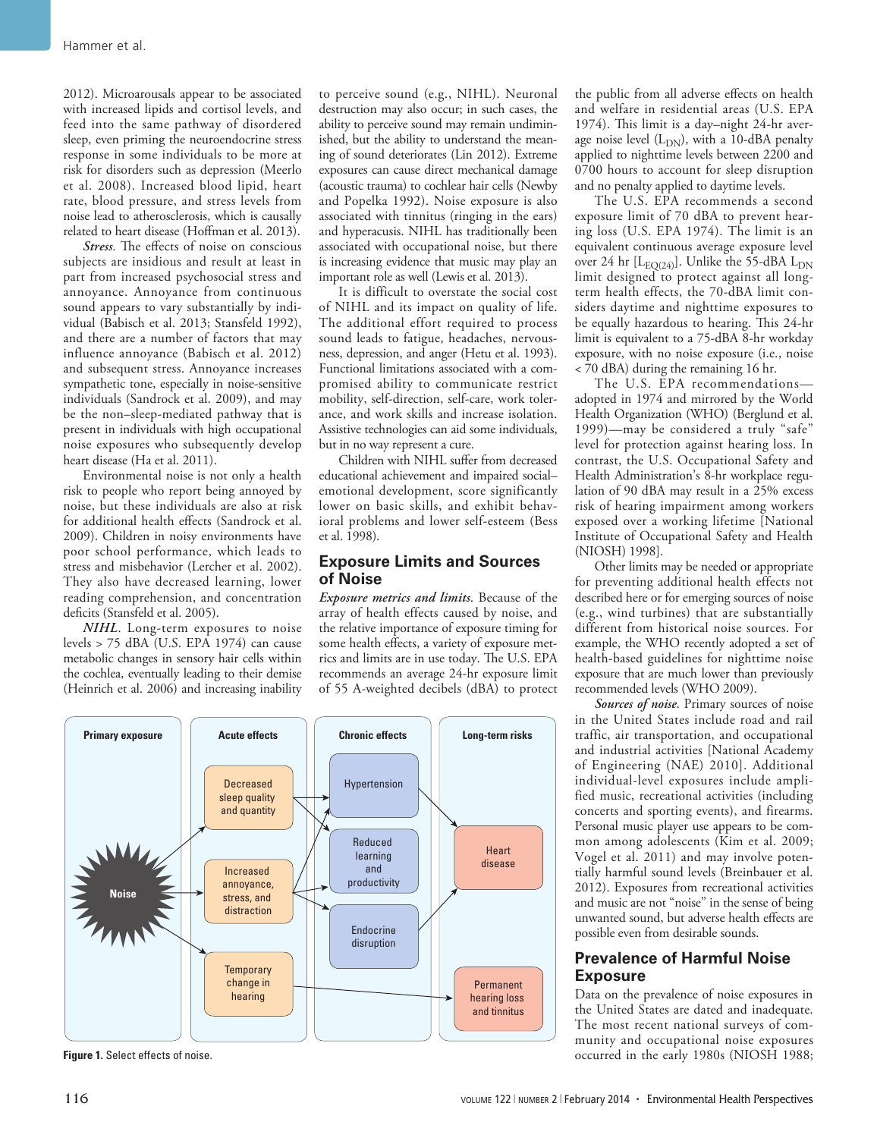2012). Microarousals appear to be associated with increased lipids and cortisol levels, and feed into the same pathway of disordered sleep, even priming the neuroendocrine stress response in some individuals to be more at risk for disorders such as depression (Meerlo et al. 2008). Increased blood lipid, heart rate, blood pressure, and stress levels from noise lead to atherosclerosis, which is causally related to heart disease (Hoffman et al. 2013).

*Stress*. The effects of noise on conscious subjects are insidious and result at least in part from increased psychosocial stress and annoyance. Annoyance from continuous sound appears to vary substantially by individual (Babisch et al. 2013; Stansfeld 1992), and there are a number of factors that may influence annoyance (Babisch et al. 2012) and subsequent stress. Annoyance increases sympathetic tone, especially in noise-sensitive individuals (Sandrock et al. 2009), and may be the non–sleep-mediated pathway that is present in individuals with high occupational noise exposures who subsequently develop heart disease (Ha et al. 2011).

Environmental noise is not only a health risk to people who report being annoyed by noise, but these individuals are also at risk for additional health effects (Sandrock et al. 2009). Children in noisy environments have poor school performance, which leads to stress and misbehavior (Lercher et al. 2002). They also have decreased learning, lower reading comprehension, and concentration deficits (Stansfeld et al. 2005).

*NIHL*. Long-term exposures to noise levels > 75 dBA (U.S. EPA 1974) can cause metabolic changes in sensory hair cells within the cochlea, eventually leading to their demise (Heinrich et al. 2006) and increasing inability to perceive sound (e.g., NIHL). Neuronal destruction may also occur; in such cases, the ability to perceive sound may remain undiminished, but the ability to understand the meaning of sound deteriorates (Lin 2012). Extreme exposures can cause direct mechanical damage (acoustic trauma) to cochlear hair cells (Newby and Popelka 1992). Noise exposure is also associated with tinnitus (ringing in the ears) and hyperacusis. NIHL has traditionally been associated with occupational noise, but there is increasing evidence that music may play an important role as well (Lewis et al. 2013).

It is difficult to overstate the social cost of NIHL and its impact on quality of life. The additional effort required to process sound leads to fatigue, headaches, nervousness, depression, and anger (Hetu et al. 1993). Functional limitations associated with a compromised ability to communicate restrict mobility, self-direction, self-care, work tolerance, and work skills and increase isolation. Assistive technologies can aid some individuals, but in no way represent a cure.

Children with NIHL suffer from decreased educational achievement and impaired social– emotional development, score significantly lower on basic skills, and exhibit behavioral problems and lower self-esteem (Bess et al. 1998).

# **Exposure Limits and Sources of Noise**

*Exposure metrics and limits*. Because of the array of health effects caused by noise, and the relative importance of exposure timing for some health effects, a variety of exposure metrics and limits are in use today. The U.S. EPA recommends an average 24-hr exposure limit of 55 A-weighted decibels (dBA) to protect



the public from all adverse effects on health and welfare in residential areas (U.S. EPA 1974). This limit is a day–night 24-hr average noise level  $(L_{DN})$ , with a 10-dBA penalty applied to nighttime levels between 2200 and 0700 hours to account for sleep disruption and no penalty applied to daytime levels.

The U.S. EPA recommends a second exposure limit of 70 dBA to prevent hearing loss (U.S. EPA 1974). The limit is an equivalent continuous average exposure level over 24 hr  $[L_{EO(24)}]$ . Unlike the 55-dBA  $L_{DN}$ limit designed to protect against all longterm health effects, the 70-dBA limit considers daytime and nighttime exposures to be equally hazardous to hearing. This 24-hr limit is equivalent to a 75-dBA 8-hr workday exposure, with no noise exposure (i.e., noise < 70 dBA) during the remaining 16 hr.

The U.S. EPA recommendations adopted in 1974 and mirrored by the World Health Organization (WHO) (Berglund et al. 1999)—may be considered a truly "safe" level for protection against hearing loss. In contrast, the U.S. Occupational Safety and Health Administration's 8-hr workplace regulation of 90 dBA may result in a 25% excess risk of hearing impairment among workers exposed over a working lifetime [National Institute of Occupational Safety and Health (NIOSH) 1998].

Other limits may be needed or appropriate for preventing additional health effects not described here or for emerging sources of noise (e.g., wind turbines) that are substantially different from historical noise sources. For example, the WHO recently adopted a set of health-based guidelines for nighttime noise exposure that are much lower than previously recommended levels (WHO 2009).

*Sources of noise*. Primary sources of noise in the United States include road and rail traffic, air transportation, and occupational and industrial activities [National Academy of Engineering (NAE) 2010]. Additional individual-level exposures include amplified music, recreational activities (including concerts and sporting events), and firearms. Personal music player use appears to be common among adolescents (Kim et al. 2009; Vogel et al. 2011) and may involve potentially harmful sound levels (Breinbauer et al. 2012). Exposures from recreational activities and music are not "noise" in the sense of being unwanted sound, but adverse health effects are possible even from desirable sounds.

# **Prevalence of Harmful Noise Exposure**

Data on the prevalence of noise exposures in the United States are dated and inadequate. The most recent national surveys of community and occupational noise exposures **Figure 1.** Select effects of noise. **Figure 1.** Select effects of noise. **occurred** in the early 1980s (NIOSH 1988;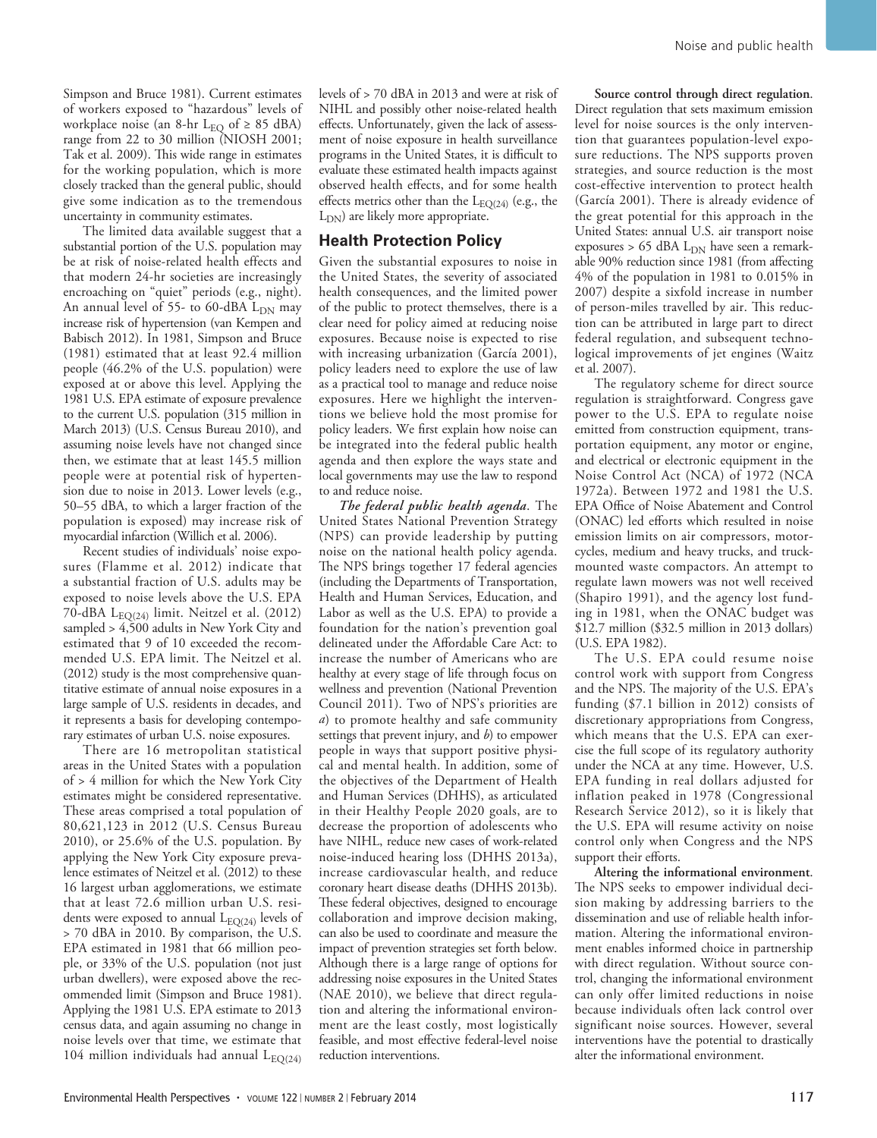Simpson and Bruce 1981). Current estimates of workers exposed to "hazardous" levels of workplace noise (an 8-hr  $L_{EQ}$  of  $\geq 85$  dBA) range from 22 to 30 million (NIOSH 2001; Tak et al. 2009). This wide range in estimates for the working population, which is more closely tracked than the general public, should give some indication as to the tremendous uncertainty in community estimates.

The limited data available suggest that a substantial portion of the U.S. population may be at risk of noise-related health effects and that modern 24-hr societies are increasingly encroaching on "quiet" periods (e.g., night). An annual level of 55- to 60-dBA  $L_{DN}$  may increase risk of hypertension (van Kempen and Babisch 2012). In 1981, Simpson and Bruce (1981) estimated that at least 92.4 million people (46.2% of the U.S. population) were exposed at or above this level. Applying the 1981 U.S. EPA estimate of exposure prevalence to the current U.S. population (315 million in March 2013) (U.S. Census Bureau 2010), and assuming noise levels have not changed since then, we estimate that at least 145.5 million people were at potential risk of hypertension due to noise in 2013. Lower levels (e.g., 50–55 dBA, to which a larger fraction of the population is exposed) may increase risk of myocardial infarction (Willich et al. 2006).

Recent studies of individuals' noise exposures (Flamme et al. 2012) indicate that a substantial fraction of U.S. adults may be exposed to noise levels above the U.S. EPA 70-dBA  $\rm L_{EQ(24)}$  limit. Neitzel et al. (2012) sampled > 4,500 adults in New York City and estimated that 9 of 10 exceeded the recommended U.S. EPA limit. The Neitzel et al. (2012) study is the most comprehensive quantitative estimate of annual noise exposures in a large sample of U.S. residents in decades, and it represents a basis for developing contemporary estimates of urban U.S. noise exposures.

There are 16 metropolitan statistical areas in the United States with a population of > 4 million for which the New York City estimates might be considered representative. These areas comprised a total population of 80,621,123 in 2012 (U.S. Census Bureau 2010), or 25.6% of the U.S. population. By applying the New York City exposure prevalence estimates of Neitzel et al. (2012) to these 16 largest urban agglomerations, we estimate that at least 72.6 million urban U.S. residents were exposed to annual  $L_{EQ(24)}$  levels of > 70 dBA in 2010. By comparison, the U.S. EPA estimated in 1981 that 66 million people, or 33% of the U.S. population (not just urban dwellers), were exposed above the recommended limit (Simpson and Bruce 1981). Applying the 1981 U.S. EPA estimate to 2013 census data, and again assuming no change in noise levels over that time, we estimate that 104 million individuals had annual  $L_{EQ(24)}$ 

levels of > 70 dBA in 2013 and were at risk of NIHL and possibly other noise-related health effects. Unfortunately, given the lack of assessment of noise exposure in health surveillance programs in the United States, it is difficult to evaluate these estimated health impacts against observed health effects, and for some health effects metrics other than the L<sub>EQ(24)</sub> (e.g., the L<sub>DN</sub>) are likely more appropriate.

## **Health Protection Policy**

Given the substantial exposures to noise in the United States, the severity of associated health consequences, and the limited power of the public to protect themselves, there is a clear need for policy aimed at reducing noise exposures. Because noise is expected to rise with increasing urbanization (García 2001), policy leaders need to explore the use of law as a practical tool to manage and reduce noise exposures. Here we highlight the interventions we believe hold the most promise for policy leaders. We first explain how noise can be integrated into the federal public health agenda and then explore the ways state and local governments may use the law to respond to and reduce noise.

*The federal public health agenda*. The United States National Prevention Strategy (NPS) can provide leadership by putting noise on the national health policy agenda. The NPS brings together 17 federal agencies (including the Departments of Transportation, Health and Human Services, Education, and Labor as well as the U.S. EPA) to provide a foundation for the nation's prevention goal delineated under the Affordable Care Act: to increase the number of Americans who are healthy at every stage of life through focus on wellness and prevention (National Prevention Council 2011). Two of NPS's priorities are *a*) to promote healthy and safe community settings that prevent injury, and *b*) to empower people in ways that support positive physical and mental health. In addition, some of the objectives of the Department of Health and Human Services (DHHS), as articulated in their Healthy People 2020 goals, are to decrease the proportion of adolescents who have NIHL, reduce new cases of work-related noise-induced hearing loss (DHHS 2013a), increase cardiovascular health, and reduce coronary heart disease deaths (DHHS 2013b). These federal objectives, designed to encourage collaboration and improve decision making, can also be used to coordinate and measure the impact of prevention strategies set forth below. Although there is a large range of options for addressing noise exposures in the United States (NAE 2010), we believe that direct regulation and altering the informational environment are the least costly, most logistically feasible, and most effective federal-level noise reduction interventions.

**Source control through direct regulation**. Direct regulation that sets maximum emission level for noise sources is the only intervention that guarantees population-level exposure reductions. The NPS supports proven strategies, and source reduction is the most cost-effective intervention to protect health (García 2001). There is already evidence of the great potential for this approach in the United States: annual U.S. air transport noise exposures > 65 dBA  $L_{DN}$  have seen a remarkable 90% reduction since 1981 (from affecting 4% of the population in 1981 to 0.015% in 2007) despite a sixfold increase in number of person-miles travelled by air. This reduction can be attributed in large part to direct federal regulation, and subsequent technological improvements of jet engines (Waitz et al. 2007).

The regulatory scheme for direct source regulation is straightforward. Congress gave power to the U.S. EPA to regulate noise emitted from construction equipment, transportation equipment, any motor or engine, and electrical or electronic equipment in the Noise Control Act (NCA) of 1972 (NCA 1972a). Between 1972 and 1981 the U.S. EPA Office of Noise Abatement and Control (ONAC) led efforts which resulted in noise emission limits on air compressors, motorcycles, medium and heavy trucks, and truckmounted waste compactors. An attempt to regulate lawn mowers was not well received (Shapiro 1991), and the agency lost funding in 1981, when the ONAC budget was \$12.7 million (\$32.5 million in 2013 dollars) (U.S. EPA 1982).

The U.S. EPA could resume noise control work with support from Congress and the NPS. The majority of the U.S. EPA's funding (\$7.1 billion in 2012) consists of discretionary appropriations from Congress, which means that the U.S. EPA can exercise the full scope of its regulatory authority under the NCA at any time. However, U.S. EPA funding in real dollars adjusted for inflation peaked in 1978 (Congressional Research Service 2012), so it is likely that the U.S. EPA will resume activity on noise control only when Congress and the NPS support their efforts.

**Altering the informational environment**. The NPS seeks to empower individual decision making by addressing barriers to the dissemination and use of reliable health information. Altering the informational environment enables informed choice in partnership with direct regulation. Without source control, changing the informational environment can only offer limited reductions in noise because individuals often lack control over significant noise sources. However, several interventions have the potential to drastically alter the informational environment.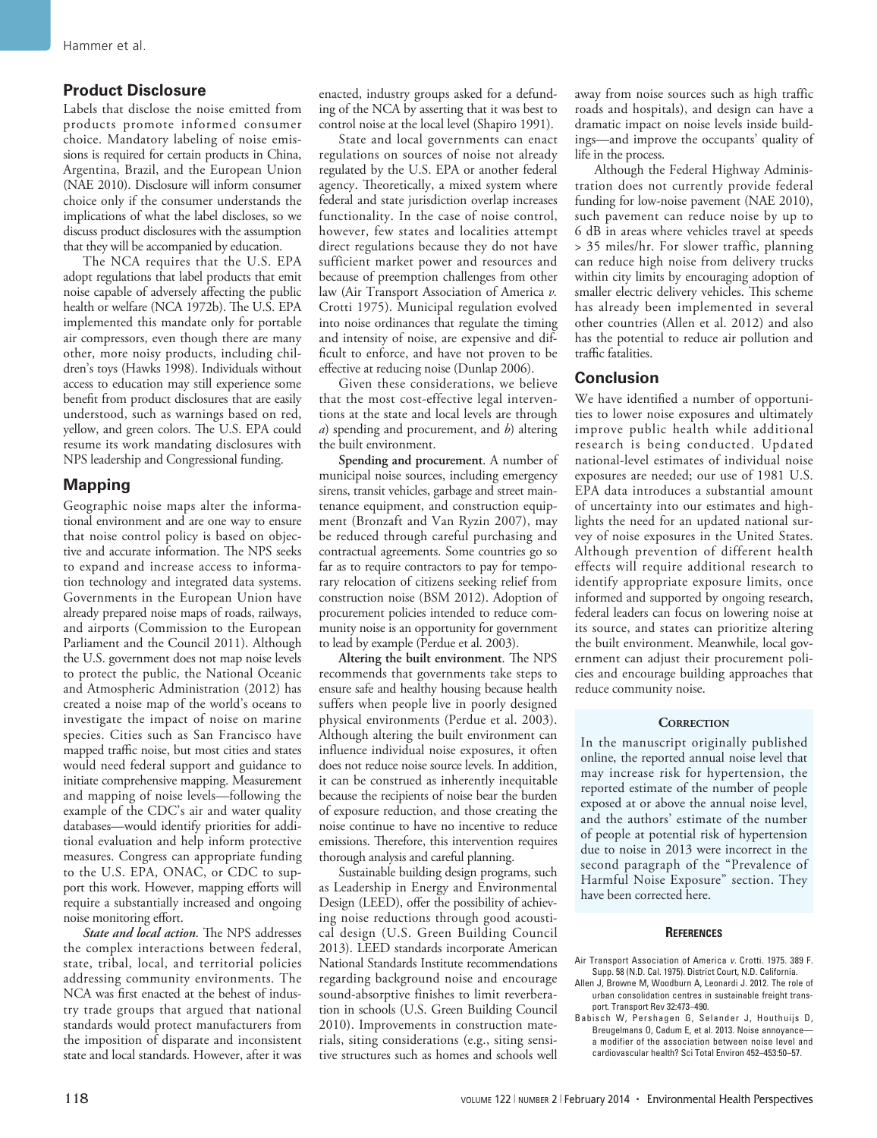### **Product Disclosure**

Labels that disclose the noise emitted from products promote informed consumer choice. Mandatory labeling of noise emissions is required for certain products in China, Argentina, Brazil, and the European Union (NAE 2010). Disclosure will inform consumer choice only if the consumer understands the implications of what the label discloses, so we discuss product disclosures with the assumption that they will be accompanied by education.

The NCA requires that the U.S. EPA adopt regulations that label products that emit noise capable of adversely affecting the public health or welfare (NCA 1972b). The U.S. EPA implemented this mandate only for portable air compressors, even though there are many other, more noisy products, including children's toys (Hawks 1998). Individuals without access to education may still experience some benefit from product disclosures that are easily understood, such as warnings based on red, yellow, and green colors. The U.S. EPA could resume its work mandating disclosures with NPS leadership and Congressional funding.

# **Mapping**

Geographic noise maps alter the informational environment and are one way to ensure that noise control policy is based on objective and accurate information. The NPS seeks to expand and increase access to information technology and integrated data systems. Governments in the European Union have already prepared noise maps of roads, railways, and airports (Commission to the European Parliament and the Council 2011). Although the U.S. government does not map noise levels to protect the public, the National Oceanic and Atmospheric Administration (2012) has created a noise map of the world's oceans to investigate the impact of noise on marine species. Cities such as San Francisco have mapped traffic noise, but most cities and states would need federal support and guidance to initiate comprehensive mapping. Measurement and mapping of noise levels—following the example of the CDC's air and water quality databases—would identify priorities for additional evaluation and help inform protective measures. Congress can appropriate funding to the U.S. EPA, ONAC, or CDC to support this work. However, mapping efforts will require a substantially increased and ongoing noise monitoring effort.

*State and local action*. The NPS addresses the complex interactions between federal, state, tribal, local, and territorial policies addressing community environments. The NCA was first enacted at the behest of industry trade groups that argued that national standards would protect manufacturers from the imposition of disparate and inconsistent state and local standards. However, after it was

enacted, industry groups asked for a defunding of the NCA by asserting that it was best to control noise at the local level (Shapiro 1991).

State and local governments can enact regulations on sources of noise not already regulated by the U.S. EPA or another federal agency. Theoretically, a mixed system where federal and state jurisdiction overlap increases functionality. In the case of noise control, however, few states and localities attempt direct regulations because they do not have sufficient market power and resources and because of preemption challenges from other law (Air Transport Association of America *v.* Crotti 1975). Municipal regulation evolved into noise ordinances that regulate the timing and intensity of noise, are expensive and difficult to enforce, and have not proven to be effective at reducing noise (Dunlap 2006).

Given these considerations, we believe that the most cost-effective legal interventions at the state and local levels are through *a*) spending and procurement, and *b*) altering the built environment.

**Spending and procurement**. A number of municipal noise sources, including emergency sirens, transit vehicles, garbage and street maintenance equipment, and construction equipment (Bronzaft and Van Ryzin 2007), may be reduced through careful purchasing and contractual agreements. Some countries go so far as to require contractors to pay for temporary relocation of citizens seeking relief from construction noise (BSM 2012). Adoption of procurement policies intended to reduce community noise is an opportunity for government to lead by example (Perdue et al. 2003).

**Altering the built environment**. The NPS recommends that governments take steps to ensure safe and healthy housing because health suffers when people live in poorly designed physical environments (Perdue et al. 2003). Although altering the built environment can influence individual noise exposures, it often does not reduce noise source levels. In addition, it can be construed as inherently inequitable because the recipients of noise bear the burden of exposure reduction, and those creating the noise continue to have no incentive to reduce emissions. Therefore, this intervention requires thorough analysis and careful planning.

Sustainable building design programs, such as Leadership in Energy and Environmental Design (LEED), offer the possibility of achieving noise reductions through good acoustical design (U.S. Green Building Council 2013). LEED standards incorporate American National Standards Institute recommendations regarding background noise and encourage sound-absorptive finishes to limit reverberation in schools (U.S. Green Building Council 2010). Improvements in construction materials, siting considerations (e.g., siting sensitive structures such as homes and schools well

away from noise sources such as high traffic roads and hospitals), and design can have a dramatic impact on noise levels inside buildings—and improve the occupants' quality of life in the process.

Although the Federal Highway Administration does not currently provide federal funding for low-noise pavement (NAE 2010), such pavement can reduce noise by up to 6 dB in areas where vehicles travel at speeds > 35 miles/hr. For slower traffic, planning can reduce high noise from delivery trucks within city limits by encouraging adoption of smaller electric delivery vehicles. This scheme has already been implemented in several other countries (Allen et al. 2012) and also has the potential to reduce air pollution and traffic fatalities.

## **Conclusion**

We have identified a number of opportunities to lower noise exposures and ultimately improve public health while additional research is being conducted. Updated national-level estimates of individual noise exposures are needed; our use of 1981 U.S. EPA data introduces a substantial amount of uncertainty into our estimates and highlights the need for an updated national survey of noise exposures in the United States. Although prevention of different health effects will require additional research to identify appropriate exposure limits, once informed and supported by ongoing research, federal leaders can focus on lowering noise at its source, and states can prioritize altering the built environment. Meanwhile, local government can adjust their procurement policies and encourage building approaches that reduce community noise.

#### **CORRECTION**

In the manuscript originally published online, the reported annual noise level that may increase risk for hypertension, the reported estimate of the number of people exposed at or above the annual noise level, and the authors' estimate of the number of people at potential risk of hypertension due to noise in 2013 were incorrect in the second paragraph of the "Prevalence of Harmful Noise Exposure" section. They have been corrected here.

#### **References**

- Air Transport Association of America *v.* Crotti. 1975. 389 F. Supp. 58 (N.D. Cal. 1975). District Court, N.D. California.
- Allen J, Browne M, Woodburn A, Leonardi J. 2012. The role of urban consolidation centres in sustainable freight transport. Transport Rev 32:473–490.
- Babisch W, Pershagen G, Selander J, Houthuijs D, Breugelmans O, Cadum E, et al. 2013. Noise annoyance a modifier of the association between noise level and cardiovascular health? Sci Total Environ 452–453:50–57.